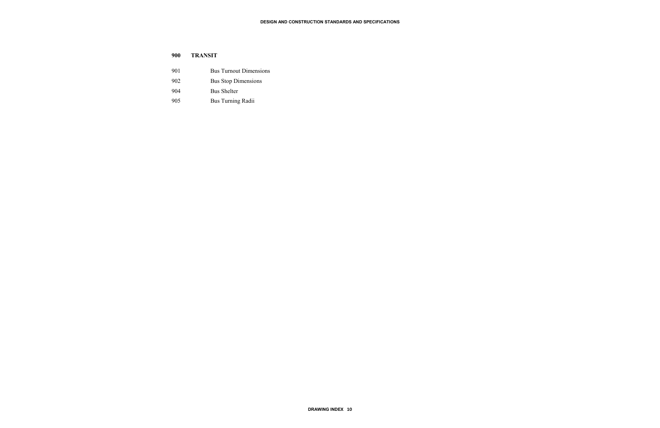| 900 | <b>TRANSIT</b>                |
|-----|-------------------------------|
| 901 | <b>Bus Turnout Dimensions</b> |
| 902 | <b>Bus Stop Dimensions</b>    |
| 904 | <b>Bus Shelter</b>            |
| 905 | Bus Turning Radii             |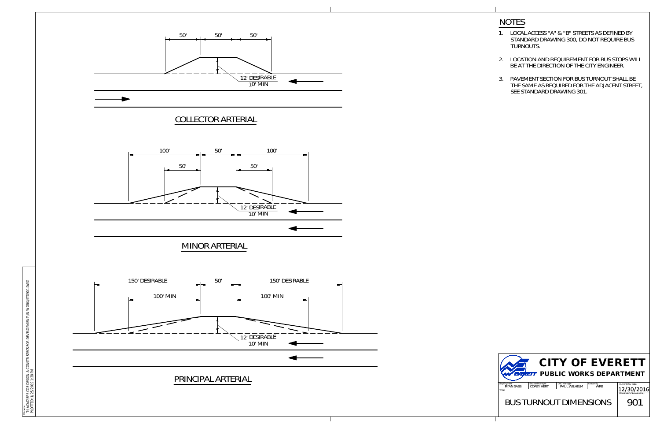



T:\ACAD\EPS-COE DESIGN & CONSTR SPECS FOR DEVELOPMENT\IN-WORK\STD901.DWG PLOTTED: 1/25/2019 1:38 PM

- **NOTES**<br>1. LOCAL ACCESS "A" & "B" STREETS AS DEFINED BY **TES<br>LOCAL ACCESS "A" & "B" STREETS AS DEFINED BY<br>STANDARD DRAWING 300, DO NOT REQUIRE BUS** <u>TES</u><br>LOCAL ACCE<br>STANDARD<br>TURNOUTS. NOTES<br>
1. LOCAL ACCESS "A" & "B" STREETS AS DEFINED BY<br>
STANDARD DRAWING 300, DO NOT REQUIRE BUS<br>
TURNOUTS.<br>
2. LOCATION AND REQUIREMENT FOR BUS STOPS WILL 1. LOCAL ACCESS "A" & "B" STREETS AS DEFINED BY<br>STANDARD DRAWING 300, DO NOT REQUIRE BUS<br>TURNOUTS.<br>2. LOCATION AND REQUIREMENT FOR BUS STOPS WI<br>BE AT THE DIRECTION OF THE CITY ENGINEER.<br>3. PAVEMENT SECTION FOR BUS TURNOUT
- TURNOUTS.<br>LOCATION AND REQUIREMENT FOR BUS STOF<br>BE AT THE DIRECTION OF THE CITY ENGINEER.
- BE AT THE DIRECTION OF THE CITY ENGINEER.<br>PAVEMENT SECTION FOR BUS TURNOUT SHALL BE<br>THE SAME AS REQUIRED FOR THE ADJACENT STREET, PAVEMENT SECTION FOR BUS<br>THE SAME AS REQUIRED FOR T<br>SEE STANDARD DRAWING 301.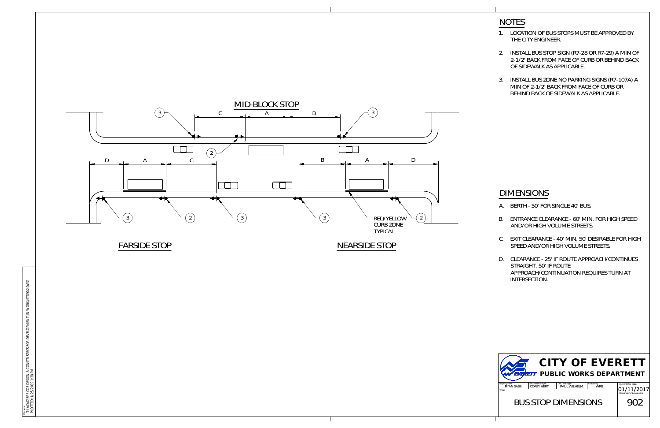- 
- 
- B. ENTRANCE CLEARANCE 60' MIN. FOR HIGH SPEED<br>AND/OR HIGH VOLUME STREETS.<br>C. EXIT CLEARANCE 40' MIN, 50' DESIRABLE FOR HIGH<br>SPEED AND/OR HIGH VOLUME STREETS.<br>D. CLEARANCE 25' IF ROUTE APPROACH/CONTINUES AND/OR HIGH VOLUME STREETS.<br>EXIT CLEARANCE - 40' MIN, 50' DE<br>SPEED AND/OR HIGH VOLUME ST<br>CLEARANCE - 25' IF ROUTE APPRC<br>STRAIGHT. 50' IF ROUTE
- APPROACH/CONTINUATION REQUIRES TURN AT





- 
- 
-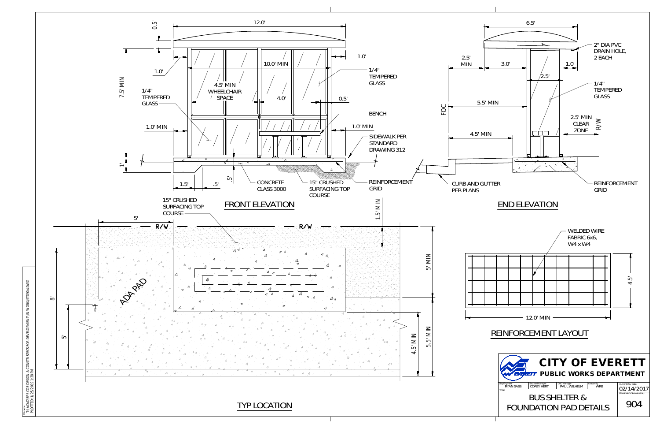

T:\ACAD\EPS-COE DESIGN & CONSTR SPECS FOR DEVELOPMENT\IN-WORK\STD904.DWG